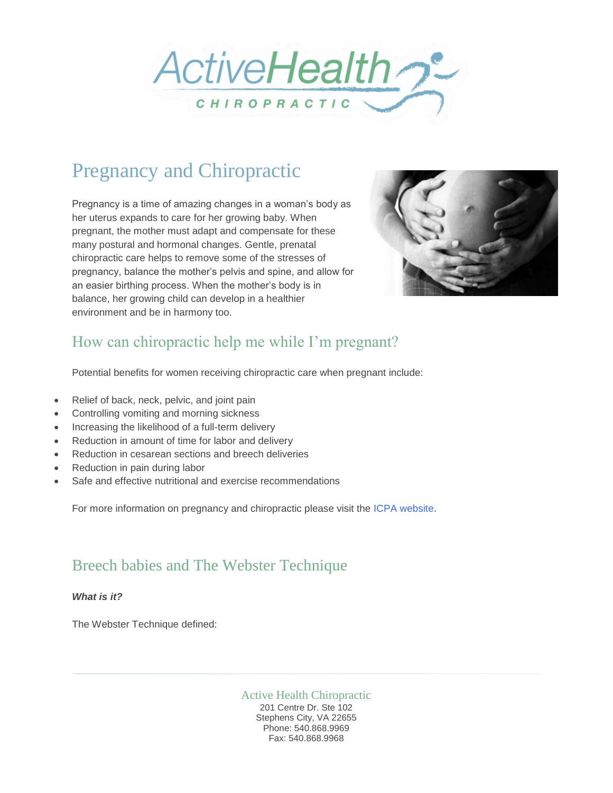

# Pregnancy and Chiropractic

Pregnancy is a time of amazing changes in a woman's body as her uterus expands to care for her growing baby. When pregnant, the mother must adapt and compensate for these many postural and hormonal changes. Gentle, prenatal chiropractic care helps to remove some of the stresses of pregnancy, balance the mother's pelvis and spine, and allow for an easier birthing process. When the mother's body is in balance, her growing child can develop in a healthier environment and be in harmony too.



## How can chiropractic help me while I'm pregnant?

Potential benefits for women receiving chiropractic care when pregnant include:

- Relief of back, neck, pelvic, and joint pain
- Controlling vomiting and morning sickness
- Increasing the likelihood of a full-term delivery
- Reduction in amount of time for labor and delivery
- Reduction in cesarean sections and breech deliveries
- Reduction in pain during labor
- Safe and effective nutritional and exercise recommendations

For more information on pregnancy and chiropractic please visit the [ICPA website.](http://icpa4kids.org/)

### Breech babies and The Webster Technique

*What is it?*

The Webster Technique defined:

Active Health Chiropractic 201 Centre Dr. Ste 102 Stephens City, VA 22655 Phone: 540.868.9969 Fax: 540.868.9968